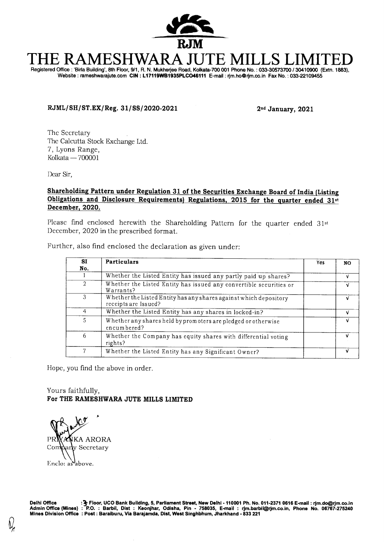

# **THE RAMESHWARA JUTE MILLS LIMITED**  Registered Office : 'Birla Building', 8th Floor, 9/1, R. N. Mukherjee Road, Kolkata-700 001 Phone No. : 033-30573700 / 30410900 (Extn. 1883),

Website : rameshwarajute.com **CIN : L17119WB1935PLC046111** E-mail : rjm.hoOrjm.co.in Fax No. : 033-22109455

## **RJML/SH/ST.EX/Reg. 31/SS/2020-2021 2ndJanuary, 2021**

The Secretary The Calcutta Stock Exchange Ltd. 7, Lyons Range, Kolkata — 700001

Dear Sir,

### **Shareholding Pattern under Regulation 31 of the Securities Exchange Board of India (Listing Obligations and Disclosure Requirements) Regulations, 2015 for the quarter ended 31st December, 2020.**

Please find enclosed herewith the Shareholding Pattern for the quarter ended 31st December, 2020 in the prescribed format.

|  |                                                                                                                                                                                                                                     |  | Further, also find enclosed the declaration as given under: |  |
|--|-------------------------------------------------------------------------------------------------------------------------------------------------------------------------------------------------------------------------------------|--|-------------------------------------------------------------|--|
|  | <b>I</b> The second is a second of the second in the second in the second in the second in the second in the second in the second in the second in the second in the second in the second in the second in the second in the second |  |                                                             |  |

| <b>SI</b><br>No. | Particulars                                                                               | Yes | NO. |
|------------------|-------------------------------------------------------------------------------------------|-----|-----|
|                  | Whether the Listed Entity has issued any partly paid up shares?                           |     | v   |
|                  | Whether the Listed Entity has issued any convertible securities or<br>Warrants?           |     |     |
|                  | Whether the Listed Entity has any shares against which depository<br>receipts are Issued? |     | ν   |
|                  | Whether the Listed Entity has any shares in locked-in?                                    |     | v   |
| 5                | Whether any shares held by promoters are pledged or otherwise<br>encumbered?              |     | v   |
| 6                | Whether the Company has equity shares with differential voting<br>rights?                 |     |     |
|                  | Whether the Listed Entity has any Significant Owner?                                      |     |     |

Hope, you find the above in order.

Yours faithfully, **For THE RAMESHWARA JUTE MILLS LIMITED** 

.<br>'11 PR**IYANKA ARORA**<br>Company Secretary y Secretary Enclo: as above.

**Delhi Office :3- Floor, UCO Bank Building, 5, Parliament Street, New Delhi - 110001 Ph. No. 011-2371 0616 E-mail : rjm.dolarjm.co.in Admin Office (Mines) : P.O. : Barbil, Dist : Keonjhar, Odisha, Pin - 758035, E-mail : rjm.barbilf§rjm.co.in , Phone No. 06767-275240 Mines Division Office : Post : Baraiburu, Via Barajamda, Dist, West Singhbhum, Jharkhand - 833 221**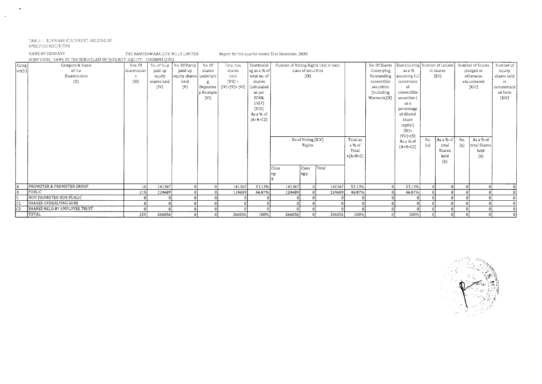#### . TABLE-1 SUMMARY STATEMENT HOLDING OF

#### SPECIFIED SECURITIES

 $\sim$ 

 $\mathcal{L}$ 

NAME OF COMPANY THE RAMESHWARA JUTE MILLS LIMITED Report for e quarter ended 31st December, 2020

|                                 | SCRIP CODE, NAME OF THE SCRIP, CLASS OF SECURITY : EQUITY 10028093 (CSE) |             |              |                           |            |                 |              |              |                     |                                      |            |               |                               |     |           |     |                  |              |
|---------------------------------|--------------------------------------------------------------------------|-------------|--------------|---------------------------|------------|-----------------|--------------|--------------|---------------------|--------------------------------------|------------|---------------|-------------------------------|-----|-----------|-----|------------------|--------------|
| Categ                           | Category & Name                                                          | Nos. Of     | No. of fully | No. Of Partiy             | No. Of     | Total nos.      | Shareholdi   |              |                     | Number of Voting Rights held in each |            | No. Of Shares | Shareholding Number of Locked |     |           |     | Number of Shares | Number of    |
| $\vert$ ory $\langle 1 \rangle$ | of the                                                                   | shareholder | paid up      | paid-up                   | shares     | shares          | ng as a % of |              | class of securities |                                      |            | Underlying    | , as a $\%$                   |     | in shares |     | pledged or       | equity       |
|                                 | Shareholders                                                             |             | equity       | equity shares   underlyin |            | held            | total no. of |              | (IX)                |                                      |            | Outstanding   | assuming full                 |     | (XII)     |     | otherwise        | shares held  |
|                                 | (II)                                                                     | (III)       | shares held  | held                      |            | $(VII) =$       | shares       |              |                     |                                      |            | convertible   | conversion                    |     |           |     | encumbered       | in           |
|                                 |                                                                          |             | (IV)         | (V)                       | Depositor  | $(IV)+(V)+(VI)$ | (calculated  |              |                     |                                      |            | securities    | of                            |     |           |     | (XIII)           | dematerializ |
|                                 |                                                                          |             |              |                           | y Receipts |                 | as per       |              |                     |                                      |            | (Including    | convertible                   |     |           |     |                  | ed form      |
|                                 |                                                                          |             |              |                           | (VI)       |                 | SCRR,        |              |                     |                                      |            | Warrants(X)   | securities                    |     |           |     |                  | (XIV)        |
|                                 |                                                                          |             |              |                           |            |                 | 1957)        |              |                     |                                      |            |               | as a                          |     |           |     |                  |              |
|                                 |                                                                          |             |              |                           |            |                 | (VIII)       |              |                     |                                      |            |               | percentage                    |     |           |     |                  |              |
|                                 |                                                                          |             |              |                           |            |                 | As a % of    |              |                     |                                      |            |               | of diluted                    |     |           |     |                  |              |
|                                 |                                                                          |             |              |                           |            |                 | $(A+B+C2)$   |              |                     |                                      |            |               | share                         |     |           |     |                  |              |
|                                 |                                                                          |             |              |                           |            |                 |              |              |                     |                                      |            |               | capital)                      |     |           |     |                  |              |
|                                 |                                                                          |             |              |                           |            |                 |              |              |                     |                                      |            |               | $(X1) =$                      |     |           |     |                  |              |
|                                 |                                                                          |             |              |                           |            |                 |              |              | No of Voting (XIV)  |                                      | Total as   |               | $(V11)+(X)$                   | No. | As a % of | No. | As a % of        |              |
|                                 |                                                                          |             |              |                           |            |                 |              |              | Rights              |                                      | a % of     |               | As a % of                     | (a) | total     | (a) | total Shares     |              |
|                                 |                                                                          |             |              |                           |            |                 |              |              |                     |                                      | Total      |               | $(A+B+C2)$                    |     | Shares    |     | held             |              |
|                                 |                                                                          |             |              |                           |            |                 |              |              |                     |                                      | $=(A+B+C)$ |               |                               |     | held      |     | (b)              |              |
|                                 |                                                                          |             |              |                           |            |                 |              |              |                     |                                      |            |               |                               |     | (b)       |     |                  |              |
|                                 |                                                                          |             |              |                           |            |                 |              | <b>Class</b> | Class               | Tota!                                |            |               |                               |     |           |     |                  |              |
|                                 |                                                                          |             |              |                           |            |                 |              |              |                     |                                      |            |               |                               |     |           |     |                  |              |
|                                 |                                                                          |             |              |                           |            |                 |              |              | eg:y                |                                      |            |               |                               |     |           |     |                  |              |
|                                 |                                                                          |             |              |                           |            |                 |              |              |                     |                                      |            |               |                               |     |           |     |                  |              |
|                                 | PROMOTER & PROMOTER GROUP                                                | 10          | 141367       |                           |            | 141367          | 53.13%       | 141367       |                     | 141367                               | 53.13%     | $\Omega$      | 53.13%                        |     |           |     |                  |              |
| l B                             | <b>PUBLIC</b>                                                            | 215         | 124689       |                           |            | 124689          | 46.87%       | 124689       |                     | 124689                               | 46.87%     |               | 46.87%                        |     |           |     |                  |              |
|                                 | NON PROMOTER NON PUBLIC                                                  |             |              |                           |            |                 |              |              |                     |                                      |            |               |                               |     |           |     |                  |              |
|                                 | <b>SHARES UNDERLYING GDRS</b>                                            |             |              |                           |            |                 |              |              |                     |                                      |            |               |                               |     |           |     |                  |              |
| C <sub>2</sub>                  | SHARES HELD BY EMPLOYEE TRUST                                            |             |              |                           |            |                 |              |              |                     |                                      |            |               |                               |     |           |     |                  |              |
|                                 | TOTAL                                                                    | 225         | 266056       |                           |            | 266056          | 100%         | 266056       | 0 <sup>1</sup>      | 266056                               | 100%       |               | 100%                          |     |           |     |                  |              |

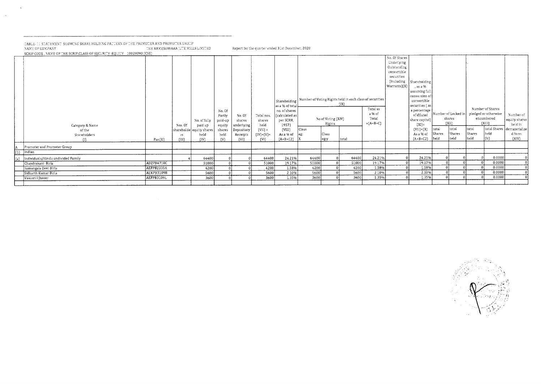#### TABLE- II STATEMENT SHOWING SHARE HOLDING PATTERN OF THE PROMOTER AND PROMOTER GROUP<br>NAME OF COMPANY "Report for the quarter ended 31st December, 2020" "HE RAMESHWARA JUTE MILLS LIMITED" Report for the quarter ended 31st D SCRIP CODE . NAME OF THE SCRIP CLASS OF SECURITY (EOUITY - 10028093 (CSE)

 $\sim$ 

 $\sim$   $\sim$ 

| $100000$ , which at the caustical in concernition $\sim$ . The case of $\sim$<br>Category & Name<br>of the |            | Nas. Of     | Na. af fully<br>paid up<br>shareholde equity shares | No. Of<br>Partly<br>paid-up<br>equity<br>shares | No. Of<br>shares<br>underlying<br>Depository | Total nos.<br>shares<br>held<br>$(VII)$ = | as a % of total<br>no. of shares<br>calculated as  <br>per SCRR,<br>1957)<br>(VIII) | Class          | No of Voting (XIV)<br>Rights | Shareholding   Number of Voting Rights held in each class of securities<br>$\{IX\}$ | Total as<br>a % of<br>Tota!<br>$=(A+B+C)$ | No. Of Shares<br>Underlying<br>Outstanding<br>convertible<br>securities<br>(Including<br>Warrants(X) | Shareholding<br>. as a %<br>assuming full<br>conversion of<br>convertible<br>securities { as }<br>a percentage<br>of diluted<br>share capital)<br>$(X1)$ =<br>$(VII)+(X)$ | $ $ tatai              | Number of Locked in<br>shares<br>${X11}$<br>tatal | ltata)                | Number of Shares<br>pledged or otherwise<br>encumbered<br>(XIII)<br>total Shares | Number of<br>equity shares<br>held in<br>dematerialize |
|------------------------------------------------------------------------------------------------------------|------------|-------------|-----------------------------------------------------|-------------------------------------------------|----------------------------------------------|-------------------------------------------|-------------------------------------------------------------------------------------|----------------|------------------------------|-------------------------------------------------------------------------------------|-------------------------------------------|------------------------------------------------------------------------------------------------------|---------------------------------------------------------------------------------------------------------------------------------------------------------------------------|------------------------|---------------------------------------------------|-----------------------|----------------------------------------------------------------------------------|--------------------------------------------------------|
| Shareholders                                                                                               | Pan(II)    | гS<br>(III) | held<br>(IV)                                        | held<br>(V)                                     | Receipts<br>(VI)                             | $(IV)+(V)+$<br>(VI)                       | As a % of<br>$(A+B+C2)$  X                                                          | $ eg$ :        | Class<br> eg:y               | total                                                                               |                                           |                                                                                                      | As a % of<br>$[A + B + C2]$                                                                                                                                               | <b>Shares</b><br> held | Shares<br>held                                    | <b>Shares</b><br>held | held                                                                             | d form<br>${XIV}$                                      |
| (1)                                                                                                        |            |             |                                                     |                                                 |                                              |                                           |                                                                                     |                |                              |                                                                                     |                                           |                                                                                                      |                                                                                                                                                                           |                        |                                                   |                       |                                                                                  |                                                        |
| Promoter and Promoter Group                                                                                |            |             |                                                     |                                                 |                                              |                                           |                                                                                     |                |                              |                                                                                     |                                           |                                                                                                      |                                                                                                                                                                           |                        |                                                   |                       |                                                                                  |                                                        |
| Indian                                                                                                     |            |             |                                                     |                                                 |                                              |                                           |                                                                                     |                |                              |                                                                                     |                                           |                                                                                                      |                                                                                                                                                                           |                        |                                                   |                       | 0.0000                                                                           |                                                        |
| Individuals/Hindu undivided Family                                                                         | ADZPB4710C |             | 64400                                               |                                                 |                                              | 64400<br>51000                            | 24.21%<br>19.17%                                                                    | 64400<br>51000 |                              | 64400<br>51000                                                                      | 24.21%<br>19.17%                          |                                                                                                      | 24.21%<br>19.17%                                                                                                                                                          |                        |                                                   |                       | 0.0000                                                                           |                                                        |
| Chandrakant Birla                                                                                          | AEFPB2335A |             | 51000<br>4200                                       |                                                 |                                              | 4200                                      | 1.58%                                                                               | 4200           |                              | 4200                                                                                | 1.58%                                     |                                                                                                      | 1.58%                                                                                                                                                                     |                        |                                                   |                       | 0.0000                                                                           |                                                        |
| Sumangala Devi Birla<br>Sidharth Kumar Birla                                                               | AEKPB3109B |             | 5600                                                |                                                 |                                              | 5600                                      | 2.10%                                                                               | 5600           |                              | 5600                                                                                | 2.10%                                     |                                                                                                      | 2.10%                                                                                                                                                                     |                        |                                                   |                       | 0.0000                                                                           |                                                        |
| Vasusri I Jhaver                                                                                           | AEFPB3109L |             | 3600                                                |                                                 |                                              | 3600                                      | 1.35%                                                                               | 3600           |                              | 3600                                                                                | 1.35%                                     |                                                                                                      | 1.35%                                                                                                                                                                     |                        |                                                   |                       | 0.0000                                                                           |                                                        |
|                                                                                                            |            |             |                                                     |                                                 |                                              |                                           |                                                                                     |                |                              |                                                                                     |                                           |                                                                                                      |                                                                                                                                                                           |                        |                                                   |                       |                                                                                  |                                                        |

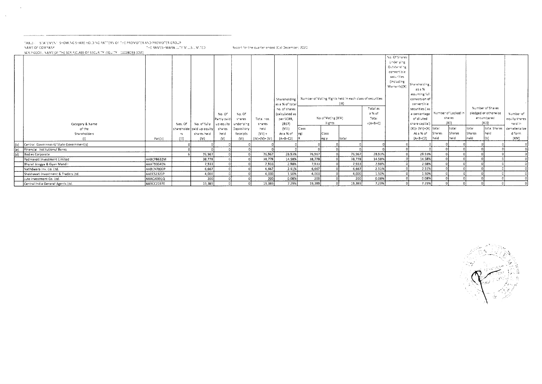$\sim 10^{-1}$ 

 $\sim 10^{-1}$ 

TABLE-LI I STATEMENTI SHOWING SHARE HOLDING PATTERN OF THE PROMOTER AND PROMOTER GROUP<br>NAME OF COMPANY THE RAMESHWARA JUTE MILLS LIMITED Aboot for the quarter ended 31st December, 2020 SCRIP CODE , NAME OF THE SCRIP, CLASS OF SECURITY (EQUITY) 10028093 (CSE)

|     |                                         |            |         |                             |             |                      |                                       |                                             |         |                    |                                                                  |                             | No. Of Shares<br>Underlying<br>Outstanding<br>convertible<br>securities |                                              |                    |           |        |                                                        |                            |
|-----|-----------------------------------------|------------|---------|-----------------------------|-------------|----------------------|---------------------------------------|---------------------------------------------|---------|--------------------|------------------------------------------------------------------|-----------------------------|-------------------------------------------------------------------------|----------------------------------------------|--------------------|-----------|--------|--------------------------------------------------------|----------------------------|
|     |                                         |            |         |                             |             |                      |                                       |                                             |         |                    |                                                                  |                             | (including)<br>Warrants)(X)                                             | Shareholding<br>asa %                        |                    |           |        |                                                        |                            |
|     |                                         |            |         |                             |             |                      |                                       | Shareholding<br>as a % of tota              |         |                    | Number of Voting Rights held in each class of securities<br>(IX) |                             |                                                                         | assuming ful<br>conversion of<br>convertible |                    |           |        |                                                        |                            |
|     |                                         |            |         |                             | No. Of      | No. Of               | Total nos.                            | no. of shares<br>calculated as<br>per SCRR, |         | No of Voting (XIV) |                                                                  | Total as<br>a % of<br>Total |                                                                         | securities (as<br>a percentage<br>of diiuted | Number of Locked i | shares    |        | Number of Shares<br>pledged or otherwise<br>encumbered | Number of<br>equity shares |
|     | Category & Name                         |            | Nos. Of | No. of fully   up equity I  | Partly paid | shares<br>underlying | shares                                | 1957)                                       |         | Rights             |                                                                  | $=\{A+B+C\}$                |                                                                         | share capital)                               |                    | $\{X_i\}$ |        | $(X_1^*1)$                                             | neid in                    |
|     | of the                                  |            |         | shareholde   paid up equity | shares      | Depository           | held                                  | (VIII)                                      | Class   |                    |                                                                  |                             |                                                                         | $(X) = (V  )+\langle X \rangle$ [total]      |                    | total     | total  | total Shares                                           | dematerialize              |
|     | Shareholders                            |            | rs.     | shares held                 | held        | Receipts             | $(V  ) =$                             | As a % of                                   |         | Class              |                                                                  |                             |                                                                         | As a % of                                    | <b>Shares</b>      | Shares    | Shares | lheid                                                  | d form                     |
|     |                                         | Pan(ii)    | (III)   | (IV)                        | $\{V\}$     | $\{V\}$              | $( V\rangle +  V\rangle +  V\rangle)$ | $(A+B+C2)$                                  |         | leg:y              | tota!                                                            |                             |                                                                         | ${A+B+C2}$                                   | heid               | held      | held   |                                                        | ${XIV}$                    |
| (b) | Central Government/ State Government(s) |            |         |                             |             |                      |                                       |                                             |         |                    |                                                                  |                             |                                                                         |                                              |                    |           |        |                                                        |                            |
| (e) | Financial Institutions/Banks            |            |         |                             |             |                      |                                       |                                             |         |                    |                                                                  |                             |                                                                         |                                              |                    |           |        |                                                        |                            |
| (d) | Bodies Corporate                        |            |         | 76,967                      |             |                      | 76, 367                               | 28.53%                                      | 76, 367 |                    | 76,967                                                           | 28.53%                      |                                                                         | 28.93%                                       |                    |           |        |                                                        |                            |
|     | Padmavati Investment Limited            | AABCP8632M |         | 38,778                      |             |                      | 38,778                                | 14.58%                                      | 38,778  |                    | 38,778                                                           | 14.58%                      |                                                                         | 14.58%                                       |                    |           |        |                                                        |                            |
|     | Bharat Arogya & Gyan Mandir             | AAAT33540N |         | 7, 933                      |             |                      | 7,833                                 | 2.58%                                       | 7,533   |                    | 7,933                                                            | 2.58%                       |                                                                         | 2.98%                                        |                    |           |        |                                                        |                            |
|     | Nathdwara Inv. Co. Ltd.                 | AABCN7830P |         | 6,667                       |             |                      | 6,667                                 | 2.51%                                       | 6,667   |                    | 6,667                                                            | 2.51%                       |                                                                         | 2.51%                                        |                    |           |        |                                                        |                            |
|     | Shekhavati investment & Traders Ltd.    | AAECS2321P |         | 4,000                       |             |                      | 4,000                                 | 1.50%                                       | 4,000   |                    | 4,000                                                            | 1.50%                       |                                                                         | 1.50%                                        |                    |           |        |                                                        |                            |
|     | Jute Investment Co. Ltd.                | AAACJ6331Q |         | 200                         |             |                      | 200                                   | 0.08%                                       | 200     |                    | 200                                                              | 0.08%                       |                                                                         | 0.08%                                        |                    |           |        |                                                        |                            |
|     | Central India General Agents Ltd.       | AABCC2197E |         | 19,389                      |             |                      | 19,389                                | 7.29%                                       | 19,385  |                    | 15,389                                                           | 7.29%                       |                                                                         | 7.29%                                        |                    |           |        |                                                        |                            |

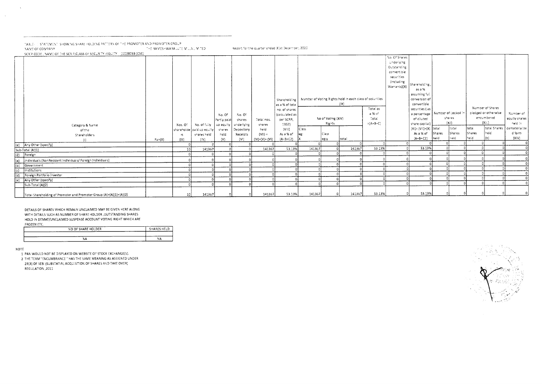TABLE - I STATEMENT SHOWING SHARE HOLDING PATTERN OF THE PROMOTER AND PROMOTER GROUP THE RAMESHWARA JUTE MILLS LIMITED NAME OF COMPANY

|     | SCRIP CODE , NAME OF THE SCRIP, CLASS OF SECURITY (EQUITY 10028093 (CSE)<br>Category & Name<br>of the |         | Nos. Of      | No. of fully<br>shareholde   paid up equity | No. Of<br>Partly paid-<br>up equity<br>shares | No. Of<br>shares<br>, underlying<br>Depository | Total nos.<br>shares<br>held      | Shareholding  <br>as a % of tota<br>no. of shares<br>(calculated as<br>per SCRR,<br>1957)<br>$\{V\}$ | C'ass  | No of Voting (XIV)<br>Rights | Number of Voting Rights held in each class of securities<br>$\{1X\}$ | Total as<br>a % of<br>Total<br>$=\{A+B+C\}$ | No. Of Shares<br>Underlying<br>Outstanding<br>convertible<br>securities<br>(including<br>Warrants)(X) | Shareholding<br>as a %<br>assuming ful<br>conversion of<br>convertible<br>securities (as<br>a percentage   Number of Locked !!<br>of diluted<br>share capital)<br>$(X )= (V !)+(X)$ [total] |                | shares<br>$\langle X_i   \rangle$<br>totai | tota:          | Number of Shares<br>pledged or otherwise<br>encumbered<br>(Xii.)<br>total Shares | Number of<br>equity shares<br>held in<br>dematerialize |
|-----|-------------------------------------------------------------------------------------------------------|---------|--------------|---------------------------------------------|-----------------------------------------------|------------------------------------------------|-----------------------------------|------------------------------------------------------------------------------------------------------|--------|------------------------------|----------------------------------------------------------------------|---------------------------------------------|-------------------------------------------------------------------------------------------------------|---------------------------------------------------------------------------------------------------------------------------------------------------------------------------------------------|----------------|--------------------------------------------|----------------|----------------------------------------------------------------------------------|--------------------------------------------------------|
|     | Shareholders                                                                                          | Pan(II) | rs.<br>(III) | shares held<br>(IV)                         | held.<br>$\{V\}$                              | Receipts<br>$\{V\}$                            | $\{VII\} =$<br>$  ( V)+(V)+(VI) $ | As a % of<br>$(A + B + C2)$                                                                          |        | Class<br>eg:y                | total                                                                |                                             |                                                                                                       | As a % of<br>$(A+B+C2)$                                                                                                                                                                     | Shares<br>held | Shares<br>neid                             | Shares<br>held | lheid.                                                                           | d form<br>(XIV)                                        |
|     | (e) Any Other (specify)                                                                               |         |              |                                             |                                               |                                                |                                   |                                                                                                      |        |                              |                                                                      |                                             |                                                                                                       |                                                                                                                                                                                             |                |                                            |                |                                                                                  |                                                        |
|     | Sub-Total (A)(1)                                                                                      |         | 10           | 141367                                      |                                               |                                                | 141367                            | 53.13%                                                                                               | 141367 |                              | 141367                                                               | 53.13%                                      |                                                                                                       | 53.13%                                                                                                                                                                                      |                |                                            |                |                                                                                  |                                                        |
|     | (2) Foreign                                                                                           |         |              |                                             |                                               |                                                |                                   |                                                                                                      |        |                              |                                                                      |                                             |                                                                                                       |                                                                                                                                                                                             |                |                                            |                |                                                                                  |                                                        |
| (a) | Individuals (NonResident Individuals/ Foreign Individuals)                                            |         |              |                                             |                                               |                                                |                                   |                                                                                                      |        |                              |                                                                      |                                             |                                                                                                       |                                                                                                                                                                                             |                |                                            |                |                                                                                  |                                                        |
| (b) | Government                                                                                            |         |              |                                             |                                               |                                                |                                   |                                                                                                      |        |                              |                                                                      |                                             |                                                                                                       |                                                                                                                                                                                             |                |                                            |                |                                                                                  | $\circ$                                                |
| (c) | Institutions                                                                                          |         |              |                                             |                                               |                                                |                                   |                                                                                                      |        |                              |                                                                      |                                             |                                                                                                       |                                                                                                                                                                                             |                |                                            |                |                                                                                  |                                                        |
| (d) | Foreign Portfolio Investor                                                                            |         |              |                                             |                                               |                                                |                                   |                                                                                                      |        |                              |                                                                      |                                             |                                                                                                       |                                                                                                                                                                                             |                |                                            |                |                                                                                  |                                                        |
| (e) | Any Other (specify)                                                                                   |         |              |                                             |                                               |                                                |                                   |                                                                                                      |        |                              |                                                                      |                                             |                                                                                                       |                                                                                                                                                                                             |                |                                            |                |                                                                                  |                                                        |
|     | Sub-Total (A)(2)                                                                                      |         |              |                                             |                                               |                                                |                                   |                                                                                                      |        |                              |                                                                      |                                             |                                                                                                       |                                                                                                                                                                                             |                |                                            |                |                                                                                  |                                                        |
|     | Total Shareholding of Promoter and Promoter Group (A)=(A)(1)+(A)(2)                                   |         | 10           | 141367                                      |                                               |                                                | 141367                            | 53.13%                                                                                               | 141367 |                              | 141367                                                               | 53.13%                                      |                                                                                                       | 53.13%                                                                                                                                                                                      |                |                                            |                |                                                                                  |                                                        |

Report for the quarter ended 31st December, 2020

DETAILS OF SHARES WHICH REMAIN UNCLAIMED MAY BE GIVEN HERE ALONG WITH DETAILS SUCH AS NUMBER OF SHARE HOLDER , OUTSTANDING SHARES HOLD IN DEMAT/UNCLAIMED SUSPENSE ACCOUNT VOTING RIGHT WHICH ARE FROZEN ETC.

| NO OF SHARE HOLDER<br>________<br>------ | SHARES HELD |
|------------------------------------------|-------------|
| ----                                     |             |
| NA                                       | NΑ          |

NOTE

 $\mathbf{L}$ 

 $\sim$   $\sim$ 

 $\sim$   $\sim$ 

1 PAN WOULD NOT BE DISPLAYED ON WEBSITE OF STOCK EXCHANGE(S).

2 THE TERM "ENCUMBRANCE " HAS THE SAME MEANING AS ASSIGNED UNDER 28(3) OF SEBI (SUBSTATIAL ACQUISITION OF SHARES AND TAKE OVER)

REGULATION , 2011

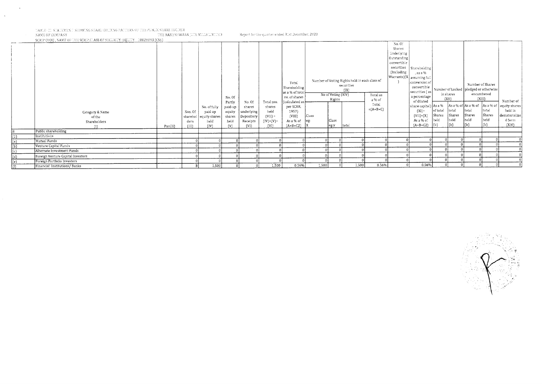# .: "ABLE .III: STATEMENT SHOWING SHARE HOLDING PATTERN OF THE PUBLIC SHARE HOLDER NAME OF COMPANY  $\hfill$

()FIE RAMESHWARA (UTE MILLS LIMITED Report for the quarter ended 31st December, 2020<br>
SCRIP CODE , NAME OF THE SCRIP CLASS OF SECURITY (EQUITY -10028093 (CSE)

 $\sim$ 

 $\mathcal{A}^{\mathcal{A}}$ 

|                                                                                      | Category & Name<br>of the<br>Shareholders |         | Nos. Of<br>ders | No. of fully<br>paid up<br>sharehol   equity shares  <br>held | No. Of<br>Partly<br>paid-up<br>equity<br>shares<br>held | No. Of<br>shares<br>underlying<br>Depository<br>Receipts | Total nos.<br>shares<br>held<br>$(VII) =$<br>$(IV)+(V)+$ | Total<br>Shareholding<br>as a % of total<br>no. of shares<br>(calculated as<br>per SCRR,<br>1957)<br>(VIII)<br>As a % of | Class<br>leg: | No of Voting (XIV)<br>Rights<br>Class | Number of Voting Rights held in each class of<br>securities<br>(IX) | Total as<br>a % of<br>Total<br>$=(A+B+C)$ | No. 0.<br>Shares<br>Underlying<br>Outstanding<br>convertible<br>securities<br>(Including | Shareholding<br>, as a %<br>  Warrants)(X   assuming full <sup>1</sup><br>conversion of<br>convertible<br>securities (as)<br>a percentage<br>of diluted<br>$(X1) =$<br>$(VII)+(X)$<br>As a % of | of total<br><b>Shares</b><br>held | in shares<br>(X11)<br>total<br>Shares<br>held | total<br>Shares<br>held | Number of Shares<br>Number of Locked   pledged or otherwise<br>encumbered<br>(XIII)<br> total<br>Shares<br>neld | Number of<br>share capital) $ $ As a % $ $ As a % of $ $ As a % of $ $ As a % of $ $ equity shares<br>held in<br>dematerialize<br>d form |
|--------------------------------------------------------------------------------------|-------------------------------------------|---------|-----------------|---------------------------------------------------------------|---------------------------------------------------------|----------------------------------------------------------|----------------------------------------------------------|--------------------------------------------------------------------------------------------------------------------------|---------------|---------------------------------------|---------------------------------------------------------------------|-------------------------------------------|------------------------------------------------------------------------------------------|-------------------------------------------------------------------------------------------------------------------------------------------------------------------------------------------------|-----------------------------------|-----------------------------------------------|-------------------------|-----------------------------------------------------------------------------------------------------------------|------------------------------------------------------------------------------------------------------------------------------------------|
|                                                                                      | $\{1\}$                                   | Pan(II) | [III]           | (IV)                                                          | $\{V\}$                                                 | (VI)                                                     | $\{VI\}$                                                 | $(A+B+C2)$                                                                                                               |               | eg:y                                  | total                                                               |                                           |                                                                                          | $(A+B+C2)$                                                                                                                                                                                      | $\vert$ (b)                       | (a)                                           |                         | $\vert$ (b)                                                                                                     | (XIV)                                                                                                                                    |
| B                                                                                    | Public shareholding                       |         |                 |                                                               |                                                         |                                                          |                                                          |                                                                                                                          |               |                                       |                                                                     |                                           |                                                                                          |                                                                                                                                                                                                 |                                   |                                               |                         |                                                                                                                 |                                                                                                                                          |
| $(1)$                                                                                | Institutions                              |         |                 |                                                               |                                                         |                                                          |                                                          |                                                                                                                          |               |                                       |                                                                     |                                           |                                                                                          |                                                                                                                                                                                                 |                                   |                                               |                         |                                                                                                                 |                                                                                                                                          |
| $\begin{array}{c} \text{(a)} \\ \text{(b)} \\ \text{(c)} \end{array}$                | Mutual Funds                              |         |                 |                                                               |                                                         |                                                          |                                                          |                                                                                                                          |               |                                       |                                                                     |                                           |                                                                                          |                                                                                                                                                                                                 |                                   |                                               |                         |                                                                                                                 |                                                                                                                                          |
|                                                                                      | Venture Capital Funds                     |         |                 |                                                               |                                                         |                                                          |                                                          |                                                                                                                          |               |                                       |                                                                     |                                           |                                                                                          |                                                                                                                                                                                                 | $\Omega$                          |                                               |                         |                                                                                                                 |                                                                                                                                          |
|                                                                                      | Alternate Investment Funds                |         |                 |                                                               |                                                         |                                                          |                                                          |                                                                                                                          |               |                                       |                                                                     |                                           |                                                                                          |                                                                                                                                                                                                 |                                   |                                               |                         |                                                                                                                 |                                                                                                                                          |
|                                                                                      | Foreign Venture Capital Investors         |         |                 |                                                               |                                                         |                                                          |                                                          |                                                                                                                          |               |                                       |                                                                     |                                           |                                                                                          |                                                                                                                                                                                                 |                                   |                                               |                         |                                                                                                                 |                                                                                                                                          |
| $\begin{array}{c} \underline{(d)} \\ \underline{(e)} \\ \underline{(f)} \end{array}$ | Foreign Portfolio Investors               |         |                 |                                                               |                                                         |                                                          |                                                          |                                                                                                                          |               |                                       |                                                                     |                                           |                                                                                          |                                                                                                                                                                                                 |                                   |                                               | $\sqrt{ }$              |                                                                                                                 |                                                                                                                                          |
|                                                                                      | Financial Institutions/Banks              |         |                 | 1,500                                                         |                                                         |                                                          | 1.500                                                    | 0.56%                                                                                                                    | 1,500         |                                       | 1,500                                                               | 0.56%                                     |                                                                                          | 0.56%                                                                                                                                                                                           |                                   |                                               |                         |                                                                                                                 |                                                                                                                                          |

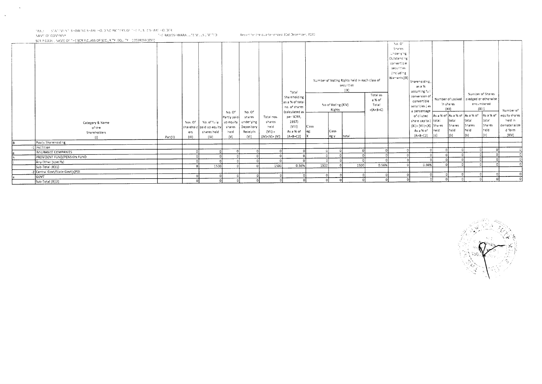TABLE STATEMENT SHOWING SHARE HOLDING PATTERN OF THE PUBLIC SHARE HOLDER.

 $\bar{\mathbf{x}}$ 

 $\sim$ 

NAVE OF COVPANY AND RELEASED FOR THE RESERVABLE OF MULTIPLE SERVICE OF THE RAMESHWARA LUTE MULTIPLE OF THE RESERVABLE OF THE RELEASED OF THE RELEASED OF THE RELEASED OF THE RELEASED OF THE RELEASED OF THE RELEASED OF THE R SCRIP CODE: INAME OF THE SCRIP,CLASS OF SECURITY (EQUITY II 10028093 (CSE)

Report for the quarter ended 31st December, 2020

 $N<sub>0</sub>$ .  $O<sup>2</sup>$ Shares

|  | . | ------ | -- |  | ------------ | ____ |  |             |
|--|---|--------|----|--|--------------|------|--|-------------|
|  |   |        |    |  |              |      |  |             |
|  |   |        |    |  |              |      |  |             |
|  |   |        |    |  |              |      |  |             |
|  |   |        |    |  |              |      |  |             |
|  |   |        |    |  |              |      |  |             |
|  |   |        |    |  |              |      |  |             |
|  |   |        |    |  |              |      |  |             |
|  |   |        |    |  |              |      |  |             |
|  |   |        |    |  |              |      |  |             |
|  |   |        |    |  |              |      |  |             |
|  |   |        |    |  |              |      |  |             |
|  |   |        |    |  |              |      |  |             |
|  |   |        |    |  |              |      |  |             |
|  |   |        |    |  |              |      |  |             |
|  |   |        |    |  |              |      |  |             |
|  |   |        |    |  |              |      |  |             |
|  |   |        |    |  |              |      |  |             |
|  |   |        |    |  |              |      |  |             |
|  |   |        |    |  |              |      |  |             |
|  |   |        |    |  |              |      |  |             |
|  |   |        |    |  |              |      |  |             |
|  |   |        |    |  |              |      |  |             |
|  |   |        |    |  |              |      |  |             |
|  |   |        |    |  |              |      |  |             |
|  |   |        |    |  |              |      |  |             |
|  |   |        |    |  |              |      |  |             |
|  |   |        |    |  |              |      |  |             |
|  |   |        |    |  |              |      |  |             |
|  |   |        |    |  |              |      |  |             |
|  |   |        |    |  |              |      |  |             |
|  |   |        |    |  |              |      |  |             |
|  |   |        |    |  |              |      |  |             |
|  |   |        |    |  |              |      |  |             |
|  |   |        |    |  |              |      |  |             |
|  |   |        |    |  |              |      |  |             |
|  |   |        |    |  |              |      |  |             |
|  |   |        |    |  |              |      |  |             |
|  |   |        |    |  |              |      |  |             |
|  |   |        |    |  |              |      |  |             |
|  |   |        |    |  |              |      |  | Number of \ |
|  |   |        |    |  |              |      |  |             |
|  |   |        |    |  |              |      |  |             |

| Category & Name<br>of the<br>Shareholders |         | Nos. Of<br>ers | No. of fully<br>sharehold   paid up equity    <br>shares held | No. Of<br>Partly paid-<br>up equity<br>shares<br>he!d | No. Of<br>shares<br>underlying<br>Depository<br>Receipts | Total nos.<br>shares<br>heid<br>$(V  ) =$ | Tota!<br>Shareholding<br>as a % of total<br>no. of shares<br>(calculated as<br>per SCRR,<br>1957)<br>$\{V\}$<br>As a % of | $C$ ass | No of Voting (XIV)<br>Rights<br>Ciass | Number of Voting Rights held in each class of<br>securities<br>(!X) | Total as<br>a % of<br>Tota!<br>$=(A+B+C)$ | Underlying<br>Outstanding<br>convertible<br>securities<br>(Including<br>  Warrants)(X) | Shareholding<br>as a %<br>assuming full<br>conversion of<br>convertible<br>securities (as<br>a percentage<br>of diluted<br>share capital) itotal<br>$(X) = \{V  \} + \{X\}$ Shares<br>As a % of<br>$(A+B+CZ)$ | neid<br>$\left  \{z\} \right $ | Number of Locked<br>in shares<br>(XII)<br>tota!<br>Shares<br>held<br>$\vert$ (b) | Number of Shares<br>pledged or otherwise<br>encumbered<br>${X}$ (XIII)<br>As a % of As a % of As a % of<br>total<br>Shares<br>held<br>(b) | As a % of<br>tota!<br>Shares<br>lhe'd | Number of<br>equity shares<br>heid in<br>dematerialize<br>d form<br>${X}$ $V$ |
|-------------------------------------------|---------|----------------|---------------------------------------------------------------|-------------------------------------------------------|----------------------------------------------------------|-------------------------------------------|---------------------------------------------------------------------------------------------------------------------------|---------|---------------------------------------|---------------------------------------------------------------------|-------------------------------------------|----------------------------------------------------------------------------------------|---------------------------------------------------------------------------------------------------------------------------------------------------------------------------------------------------------------|--------------------------------|----------------------------------------------------------------------------------|-------------------------------------------------------------------------------------------------------------------------------------------|---------------------------------------|-------------------------------------------------------------------------------|
| $\{i\}$                                   | Pan(ii) | (111)          | $\langle  V\rangle$                                           | (V)                                                   | (V!)                                                     | $( V +(V)+(V) )$                          | ${A+B+C2}$                                                                                                                |         | eg:v                                  | total                                                               |                                           |                                                                                        |                                                                                                                                                                                                               |                                |                                                                                  |                                                                                                                                           |                                       |                                                                               |
| Public ShareHolding                       |         |                |                                                               |                                                       |                                                          |                                           |                                                                                                                           |         |                                       |                                                                     |                                           |                                                                                        |                                                                                                                                                                                                               |                                |                                                                                  |                                                                                                                                           |                                       |                                                                               |
| 1 Institition                             |         |                |                                                               |                                                       |                                                          |                                           |                                                                                                                           |         |                                       |                                                                     |                                           |                                                                                        |                                                                                                                                                                                                               |                                |                                                                                  |                                                                                                                                           |                                       |                                                                               |
| INSURANCE COMPANIES                       |         |                |                                                               |                                                       |                                                          |                                           |                                                                                                                           |         |                                       |                                                                     |                                           |                                                                                        |                                                                                                                                                                                                               |                                |                                                                                  |                                                                                                                                           |                                       |                                                                               |
| PROVIDENT FUND/PENSION FUND               |         |                |                                                               |                                                       |                                                          |                                           |                                                                                                                           |         |                                       |                                                                     |                                           |                                                                                        |                                                                                                                                                                                                               |                                |                                                                                  |                                                                                                                                           |                                       |                                                                               |
| Any Other (specify)                       |         |                |                                                               |                                                       |                                                          |                                           |                                                                                                                           |         |                                       |                                                                     |                                           |                                                                                        | C.56%                                                                                                                                                                                                         |                                |                                                                                  |                                                                                                                                           |                                       |                                                                               |
| Sub-Total (B)(1)                          |         |                | 1SOC                                                          |                                                       |                                                          | 1500                                      | 0.56%                                                                                                                     | 1500    |                                       | 1500                                                                | 0.56%                                     |                                                                                        |                                                                                                                                                                                                               |                                |                                                                                  |                                                                                                                                           |                                       |                                                                               |
| -2 Central Govt/State Govt(s)POI          |         |                |                                                               |                                                       |                                                          |                                           |                                                                                                                           |         |                                       |                                                                     |                                           |                                                                                        |                                                                                                                                                                                                               |                                |                                                                                  |                                                                                                                                           |                                       |                                                                               |
| GOVT                                      |         |                |                                                               |                                                       |                                                          |                                           |                                                                                                                           |         |                                       |                                                                     |                                           |                                                                                        |                                                                                                                                                                                                               |                                |                                                                                  |                                                                                                                                           |                                       |                                                                               |
| Sub-Total (B)(2)                          |         |                |                                                               |                                                       |                                                          |                                           |                                                                                                                           |         |                                       |                                                                     |                                           |                                                                                        |                                                                                                                                                                                                               |                                |                                                                                  |                                                                                                                                           |                                       |                                                                               |

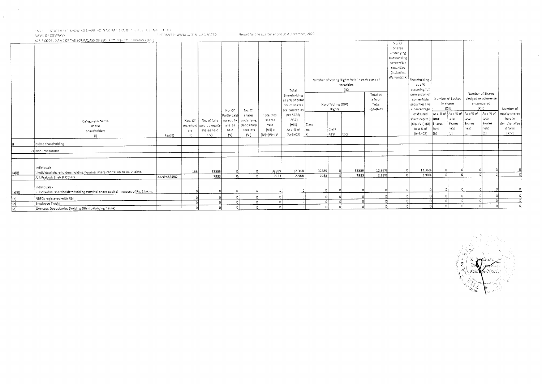TABLE TISTATEMENT SHOWING SHARE HOLDING PATTERN OF THE PUBLIC SHARE HOLDER.<br>NAME OF COMPANY IN THE RAMESHWARA LUTE MULLS UMITED IS THE Resort for the quarter ended B1st December, 2020.

SCRIP CODE I NAME OF THE SCRIP CLASS OF SECURITY (EQUITY) 10028093 (CSE)

 $\lambda$ 

|                  | $\alpha$ , and $\alpha$ , and $\alpha$ , and $\alpha$ , and $\alpha$ , and $\alpha$ , and $\alpha$ , and $\alpha$ , and $\alpha$ , and $\alpha$ |            |                       |                          |             |            |                             |                 |       |                                   |                                               |              | No. O <sup>c</sup> |                                                                                                            |      |           |                                         |                                         |               |
|------------------|-------------------------------------------------------------------------------------------------------------------------------------------------|------------|-----------------------|--------------------------|-------------|------------|-----------------------------|-----------------|-------|-----------------------------------|-----------------------------------------------|--------------|--------------------|------------------------------------------------------------------------------------------------------------|------|-----------|-----------------------------------------|-----------------------------------------|---------------|
|                  |                                                                                                                                                 |            |                       |                          |             |            |                             |                 |       |                                   |                                               |              | Shares             |                                                                                                            |      |           |                                         |                                         |               |
|                  |                                                                                                                                                 |            |                       |                          |             |            |                             |                 |       |                                   |                                               |              | Underlying         |                                                                                                            |      |           |                                         |                                         |               |
|                  |                                                                                                                                                 |            |                       |                          |             |            |                             |                 |       |                                   |                                               |              | Outstanding        |                                                                                                            |      |           |                                         |                                         |               |
|                  |                                                                                                                                                 |            |                       |                          |             |            |                             |                 |       |                                   |                                               |              | convertible        |                                                                                                            |      |           |                                         |                                         |               |
|                  |                                                                                                                                                 |            |                       |                          |             |            |                             |                 |       |                                   |                                               |              | securities         |                                                                                                            |      |           |                                         |                                         |               |
|                  |                                                                                                                                                 |            |                       |                          |             |            |                             |                 |       |                                   |                                               |              | (Including         |                                                                                                            |      |           |                                         |                                         |               |
|                  |                                                                                                                                                 |            |                       |                          |             |            |                             |                 |       |                                   | Number of Voting Rights held in each class of |              |                    | $\left.\left.\left \right. \left(\text{Warnants})(X)\right.\right \right _{\text{Shareholding }},\text{I}$ |      |           |                                         |                                         |               |
|                  |                                                                                                                                                 |            |                       |                          |             |            |                             |                 |       |                                   | securities                                    |              |                    | as a %                                                                                                     |      |           |                                         |                                         |               |
|                  |                                                                                                                                                 |            |                       |                          |             |            |                             | Total           |       |                                   | ${!}X$                                        |              |                    | assuming ful                                                                                               |      |           |                                         |                                         |               |
|                  |                                                                                                                                                 |            |                       |                          |             |            |                             | Shareholding    |       |                                   |                                               | Total as     |                    | conversion of                                                                                              |      |           |                                         | Number of Shares                        |               |
|                  |                                                                                                                                                 |            |                       |                          |             |            |                             | as a % of total |       |                                   |                                               | a % of       |                    | convertible                                                                                                |      |           |                                         | Number of Locked   pledged or otherwise |               |
|                  |                                                                                                                                                 |            |                       |                          |             |            |                             | no. of shares   |       | No of Voting (XIV)                |                                               | Total        |                    | securities (as                                                                                             |      | in shares |                                         | encumbered                              |               |
|                  |                                                                                                                                                 |            |                       |                          | No. Of      | No. Of     |                             | (calculated as  |       | Rights                            |                                               | $=\{A+B+C\}$ |                    | a percentage                                                                                               |      | (X  )     |                                         | (X  i)                                  | Number of     |
|                  |                                                                                                                                                 |            |                       |                          | Partly paid | shares     | Total nos.                  | per SCRR,       |       |                                   |                                               |              |                    | of diluted                                                                                                 |      |           | As a % of As a % of As a % of As a % of |                                         | equity shares |
|                  | Category & Name                                                                                                                                 |            | Nos. Of               | No. of fully   up equity |             | underlying | shares                      | 1957)           |       |                                   |                                               |              |                    | share capital) [total]                                                                                     |      | tota.     | total                                   | total                                   | held in       |
|                  | of the                                                                                                                                          |            |                       | sharehold aaid up equity | shares      | Depository | held                        | (VHH)           | Class |                                   |                                               |              |                    | $(Xi) = (Vii)+(X)$ Shares                                                                                  |      | Shares    | Shares                                  | Shares                                  | dematerialize |
|                  | Shareholders                                                                                                                                    |            | ers                   | shares heid              | held        | Receipts   | $(V  )$ =                   | As a % of       | eg:   | Cass                              |                                               |              |                    | As a % of                                                                                                  | heid | heid      | he.d                                    | held                                    | d form        |
|                  | $\langle   \rangle$                                                                                                                             | Pan(II)    | $\langle 113 \rangle$ | $\{ \mathsf{V}\rangle\}$ | $\{V\}$     | (V)        | $( V\rangle+(V)+ V\rangle)$ | $(A + B + CZ)$  |       | $\left  \text{eg:}\gamma \right $ | total                                         |              |                    | ${A+ B+ C2}$                                                                                               | l(b) | (b)       | (a)                                     | l(b).                                   | {XIV}         |
|                  | Public shareholding                                                                                                                             |            |                       |                          |             |            |                             |                 |       |                                   |                                               |              |                    |                                                                                                            |      |           |                                         |                                         |               |
|                  | -3 Non-institutions                                                                                                                             |            |                       |                          |             |            |                             |                 |       |                                   |                                               |              |                    |                                                                                                            |      |           |                                         |                                         |               |
|                  |                                                                                                                                                 |            |                       |                          |             |            |                             |                 |       |                                   |                                               |              |                    |                                                                                                            |      |           |                                         |                                         |               |
|                  | individuals -                                                                                                                                   |            |                       |                          |             |            |                             |                 |       |                                   |                                               |              |                    |                                                                                                            |      |           |                                         |                                         |               |
| (a(i))           | Individual shareholders holding nominal share capital up to Rs. 2 lakhs.                                                                        |            | 185                   | 32889                    |             |            | 32889                       | 12.36%          | 32889 |                                   | 32889                                         | 12.36%       |                    | 12.36%                                                                                                     |      |           |                                         |                                         |               |
|                  | Ajit Prakash Shah & Others                                                                                                                      | AANPS8249Q |                       | 7933                     |             |            | 7933                        | 2.98%           | 7933  |                                   | 7933                                          | 2.98%        |                    | 2.98%                                                                                                      |      |           | o۱                                      |                                         |               |
|                  | Individuals -                                                                                                                                   |            |                       |                          |             |            |                             |                 |       |                                   |                                               |              |                    |                                                                                                            |      |           |                                         |                                         |               |
| $ (a(i))\rangle$ | . Individual shareholders holding nominal share capital in excess of Rs. 2 lakhs.                                                               |            |                       |                          |             |            |                             |                 |       |                                   |                                               |              |                    |                                                                                                            |      |           |                                         |                                         |               |
| <sub>b</sub>     | NBFCs registered with RBI                                                                                                                       |            |                       |                          |             |            |                             |                 |       |                                   |                                               |              |                    |                                                                                                            |      |           |                                         |                                         |               |
| l (c):           | Employee Trusts                                                                                                                                 |            |                       |                          |             | $\sim$     |                             |                 |       |                                   |                                               |              |                    |                                                                                                            |      |           |                                         |                                         |               |
| iran.            | Overseas Depositories (holding DRs) (balancing figure)                                                                                          |            |                       |                          |             |            |                             |                 |       |                                   |                                               |              |                    |                                                                                                            |      |           |                                         |                                         |               |

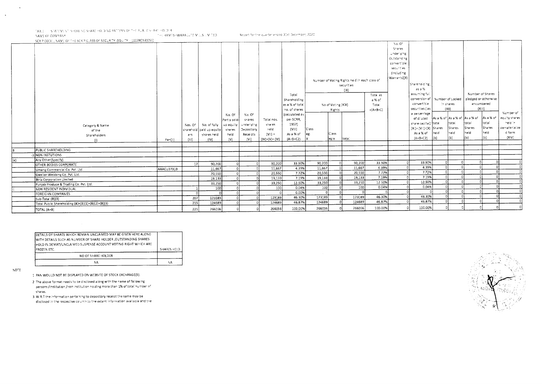TABLE - STATEMENT SHOWING SHARE HOLDING PATTERN OF THE PUBLIC SHARE HOLDER. THE RAMESHWARA LUTE MILLS LIMITED.

Report for the quarter ended 31st December, 2020.

NAME OF COMPANY. SCRIP CODE , NAME OF THE SCRIP, CLASS OF SECURITY (EQUITY) 10028093(CSE)

 $\sqrt{0.0^4}$ Shares Underlying Outstanding convertible. securities (Including Warrants\(X) Number of Voting Rights held in each class of Shareno'ding, securities as a %  $(|X|)$ assuming full Number of Shares Total Total as conversion of Number of Locked pledged or otherwise Shareholding a % of convertible encumbered in shares as a % of total No of Voting (XIV) Total securities (as  $(X||1)$  $fX||1$ no, of shares  $=(A+B+C)$ Rights Number of a percentage (calculated as No. Of No. Of of diluted As a % of As a % of As a % of equity shares As a % of per SCRR, Partly paid shares Total nos. share capital) | total total total total heid in  $1957$ Nos. Of No. of fully up equity underlying shares Category & Name  $(X_i) = \langle V_i | \rangle + \langle X \rangle$  Shares Shares Shares Shares iemateriaiize sharehoid said up equity shares Depository held  $\{VIII\}$ Class of the heid d form As a % of heid heid held shares held held Receipts  $\{V_i\}$  = As a % of eg: Class Shareholders ers  $(b)$  $(X;V)$ 'nУ  $(A+B+C2)$  $(b)$ انتقا Pan(il)  $(III)$  $(IV)$  $(V)$  $\langle V_i \rangle$  $(IV)+(V)+(VI)$  $(A+B+C2)$ leg:v ltota:  $\langle 0 \rangle$ PUBLIC SHAREHOLDING -3 NON INSTUTIONS Any Other(Specify) (م) ി 33.90% 90,200 90,200 33.90% 33.90%  $|0|$  $\circ$  $\Omega$ 90,200 70 90,200  $17$  $\overline{0}$ OTHER BODIES CORPORATE  $\overline{\circ}$ 11,667 4.39% 4.39%  $\lceil 0 \rceil$  $\Omega$ 히  $\overline{\Omega}$ 11,667 4.39% 11.667  $\Omega$  $\Omega$ AAACU3731B 11,667 Umang Commercial Co. Pvt. Ltd. 7.72%  $\Omega$ 7.72%  $\lceil \cdot \rceil$ 20,550 ᆔ  $\overline{\Omega}$ 20,550 7.72% 20,550 20,550  $\sim$ Gwalior Webbing Co. Pvt. Ltd. 7.19% ᆔ ಾ  $\overline{\mathfrak{o}}$ 7.19% 19,133  $\overline{\phantom{a}}$ 19.133 7.19%  $19,133$ 19,133  $\circ$  $\Omega$ Birla Corporation Limited 쿄 12.50%  $\overline{\Omega}$ 70 12.50%  $\overline{\mathfrak{o}}$ 33,250 ᄀ ᅙ 33,250 12.50% 33,250 33,250  $\circ$ Punjab Produce & Trading Co. Pvt. Ltd. ᄀ न्त ন  $\Omega$  $0.04%$ 0.04% 0.04%  $100$  $100$ ່ວ  $100$  $\overline{\circ}$ -ol  $100$  $\Omega$ NON RESIDENT INDIVIDUAL 하 ा ा 51  $C.00%$  $\lceil n \rceil$  $\circ$ - 0 ി  $\overline{\phantom{a}}$ ിപ  $|0|$  $^{\circ}$ FOREIGHN COMPANIES  $\sim$ ᆎ 46.30% ᆔ ᆎ ा 46.30% 123189 46.30% 123189 123189 123189  $\overline{0}$ - ol Sub-Total (B)(3) 207 히  $\overline{0}$ 46.87% ᆔ 46.87%  $\overline{0}$  $\overline{0}$  $\circ$ 124689  $\overline{0}$ 5 124689 46.87% 124689  $\overline{ }$ 124689  $\overline{215}$ Total Public Shareholding (8)=(B)(1)+(8)(2)+(B)(3) -ol 100.00%  $\Omega$  $\mathbf{c}$  $\Omega$  $\circ$ 266056 100.00% 266056  $225$  $\Omega$ -ol 266056 100.00% TOTAL (A+B) 266056

| DETAILS OF SHARES WHICH REMAIN UNCLAIMED MAY BE GIVEN HERE ALONG                                                                    |             |
|-------------------------------------------------------------------------------------------------------------------------------------|-------------|
| WITH DETAILS SUCH AS NUMBER OF SHARE HOLDER , OUTSTANDING SHARES<br>HOLD IN DEMAT/UNCLAIMED SUSPENSE ACCOUNT VOTING RIGHT WHICH ARE |             |
| FROZEN ETC.                                                                                                                         | SHARES HELD |
| NO OF SHARE HOLDER                                                                                                                  |             |
| NΑ                                                                                                                                  | ٨A          |

NOTE

 $\ddot{\phantom{a}}$ 

1 PAN WOULD NOT BE DISPLAYED ON WEBSITE OF STOCK EXCHANGE(5).

2 The above format needs to be disclosed along with the name of following persons /institution /non institution holding more than 1% of total number of shares.

3 W.R.T the information pertaining to depository receipt the same may be disclosed in the respective column to the extent information available and the